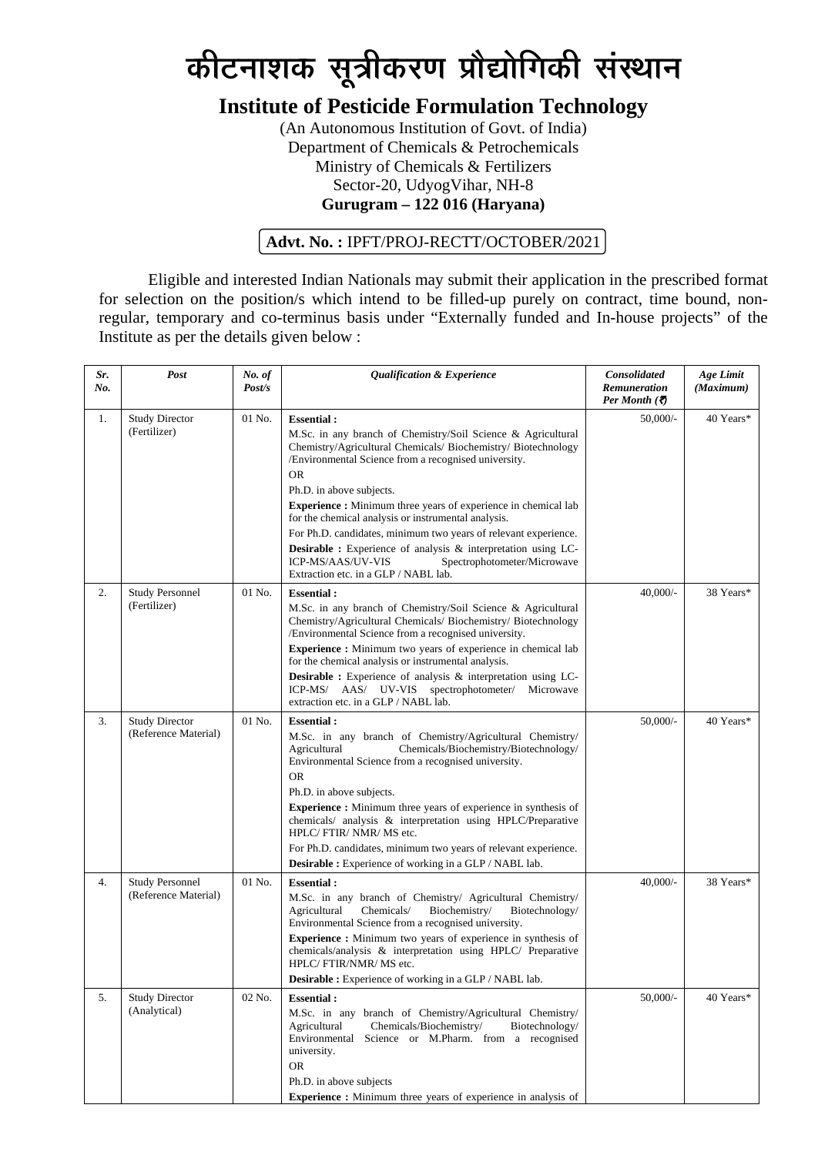# *कीटनाशक सूत्रीकरण प्रौद्योगिकी संस्थान*

## **Institute of Pesticide Formulation Technology**

(An Autonomous Institution of Govt. of India) Department of Chemicals & Petrochemicals Ministry of Chemicals & Fertilizers Sector-20, UdyogVihar, NH-8 **Gurugram – 122 016 (Haryana)**

#### **Advt. No. :** IPFT/PROJ-RECTT/OCTOBER/2021

Eligible and interested Indian Nationals may submit their application in the prescribed format for selection on the position/s which intend to be filled-up purely on contract, time bound, nonregular, temporary and co-terminus basis under "Externally funded and In-house projects" of the Institute as per the details given below :

| Sr.<br>No. | Post                                           | No. of<br>Post/s | <b>Qualification &amp; Experience</b>                                                                                                                                                                                                                                                                                                                                                                                                                                                                                                                                                                               | <b>Consolidated</b><br>Remuneration<br><i>Per Month</i> (₹) | Age Limit<br>(Maximum) |
|------------|------------------------------------------------|------------------|---------------------------------------------------------------------------------------------------------------------------------------------------------------------------------------------------------------------------------------------------------------------------------------------------------------------------------------------------------------------------------------------------------------------------------------------------------------------------------------------------------------------------------------------------------------------------------------------------------------------|-------------------------------------------------------------|------------------------|
| 1.         | <b>Study Director</b><br>(Fertilizer)          | 01 No.           | <b>Essential:</b><br>M.Sc. in any branch of Chemistry/Soil Science & Agricultural<br>Chemistry/Agricultural Chemicals/ Biochemistry/ Biotechnology<br>/Environmental Science from a recognised university.<br><b>OR</b><br>Ph.D. in above subjects.<br>Experience : Minimum three years of experience in chemical lab<br>for the chemical analysis or instrumental analysis.<br>For Ph.D. candidates, minimum two years of relevant experience.<br><b>Desirable :</b> Experience of analysis & interpretation using LC-<br>ICP-MS/AAS/UV-VIS<br>Spectrophotometer/Microwave<br>Extraction etc. in a GLP / NABL lab. | $50,000/-$                                                  | 40 Years*              |
| 2.         | <b>Study Personnel</b><br>(Fertilizer)         | 01 No.           | <b>Essential:</b><br>M.Sc. in any branch of Chemistry/Soil Science & Agricultural<br>Chemistry/Agricultural Chemicals/ Biochemistry/ Biotechnology<br>/Environmental Science from a recognised university.<br>Experience : Minimum two years of experience in chemical lab<br>for the chemical analysis or instrumental analysis.<br><b>Desirable :</b> Experience of analysis & interpretation using LC-<br>ICP-MS/ AAS/ UV-VIS spectrophotometer/ Microwave<br>extraction etc. in a GLP / NABL lab.                                                                                                               | 40,000/-                                                    | 38 Years*              |
| 3.         | <b>Study Director</b><br>(Reference Material)  | 01 No.           | <b>Essential:</b><br>M.Sc. in any branch of Chemistry/Agricultural Chemistry/<br>Chemicals/Biochemistry/Biotechnology/<br>Agricultural<br>Environmental Science from a recognised university.<br><b>OR</b><br>Ph.D. in above subjects.<br><b>Experience :</b> Minimum three years of experience in synthesis of<br>chemicals/ analysis & interpretation using HPLC/Preparative<br>HPLC/FTIR/NMR/MS etc.<br>For Ph.D. candidates, minimum two years of relevant experience.<br>Desirable : Experience of working in a GLP / NABL lab.                                                                                | 50,000/-                                                    | 40 Years*              |
| 4.         | <b>Study Personnel</b><br>(Reference Material) | 01 No.           | <b>Essential:</b><br>M.Sc. in any branch of Chemistry/ Agricultural Chemistry/<br>Chemicals/<br>Biochemistry/<br>Agricultural<br>Biotechnology/<br>Environmental Science from a recognised university.<br>Experience : Minimum two years of experience in synthesis of<br>chemicals/analysis & interpretation using HPLC/ Preparative<br>HPLC/ FTIR/NMR/ MS etc.<br>$\textbf{Desirable}:$ Experience of working in a GLP / NABL lab.                                                                                                                                                                                | $40,000/$ -                                                 | 38 Years*              |
| 5.         | <b>Study Director</b><br>(Analytical)          | 02 No.           | <b>Essential:</b><br>M.Sc. in any branch of Chemistry/Agricultural Chemistry/<br>Agricultural<br>Chemicals/Biochemistry/<br>Biotechnology/<br>Environmental<br>Science or M.Pharm. from a recognised<br>university.<br><b>OR</b><br>Ph.D. in above subjects<br><b>Experience :</b> Minimum three years of experience in analysis of                                                                                                                                                                                                                                                                                 | $50,000/$ -                                                 | 40 Years*              |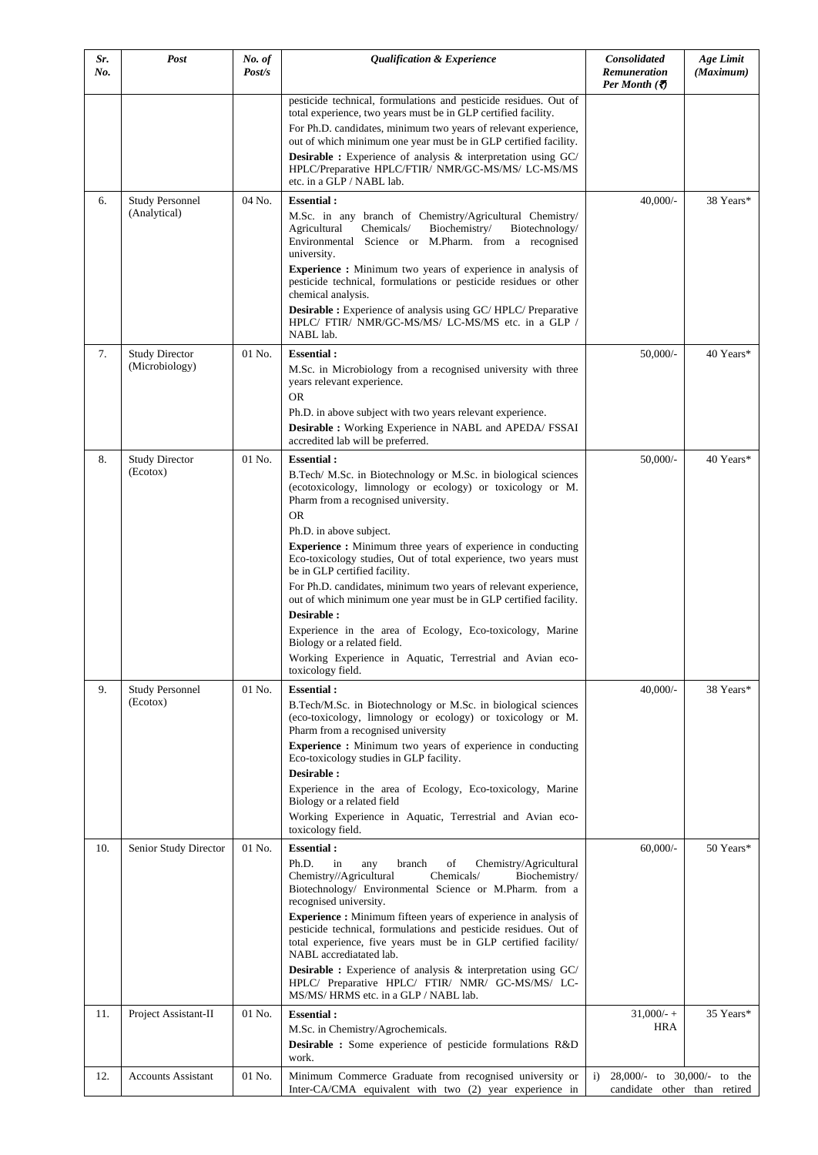| Sr. | Post                                    | No. of | <b>Qualification &amp; Experience</b>                                                                                                                                                                                                                                                                                                                                                                                                                                                                                                                                                                                                                                                                                    | <b>Consolidated</b>                                               | Age Limit |
|-----|-----------------------------------------|--------|--------------------------------------------------------------------------------------------------------------------------------------------------------------------------------------------------------------------------------------------------------------------------------------------------------------------------------------------------------------------------------------------------------------------------------------------------------------------------------------------------------------------------------------------------------------------------------------------------------------------------------------------------------------------------------------------------------------------------|-------------------------------------------------------------------|-----------|
| No. |                                         | Post/s |                                                                                                                                                                                                                                                                                                                                                                                                                                                                                                                                                                                                                                                                                                                          | Remuneration<br>Per Month $\overline{\mathfrak{D}}$               | (Maximum) |
|     |                                         |        | pesticide technical, formulations and pesticide residues. Out of<br>total experience, two years must be in GLP certified facility.                                                                                                                                                                                                                                                                                                                                                                                                                                                                                                                                                                                       |                                                                   |           |
|     |                                         |        | For Ph.D. candidates, minimum two years of relevant experience,                                                                                                                                                                                                                                                                                                                                                                                                                                                                                                                                                                                                                                                          |                                                                   |           |
|     |                                         |        | out of which minimum one year must be in GLP certified facility.                                                                                                                                                                                                                                                                                                                                                                                                                                                                                                                                                                                                                                                         |                                                                   |           |
|     |                                         |        | <b>Desirable :</b> Experience of analysis & interpretation using GC/<br>HPLC/Preparative HPLC/FTIR/ NMR/GC-MS/MS/ LC-MS/MS<br>etc. in a GLP / NABL lab.                                                                                                                                                                                                                                                                                                                                                                                                                                                                                                                                                                  |                                                                   |           |
| 6.  | <b>Study Personnel</b>                  | 04 No. | <b>Essential:</b>                                                                                                                                                                                                                                                                                                                                                                                                                                                                                                                                                                                                                                                                                                        | $40,000/-$                                                        | 38 Years* |
|     | (Analytical)                            |        | M.Sc. in any branch of Chemistry/Agricultural Chemistry/<br>Biochemistry/<br>Agricultural<br>Chemicals/<br>Biotechnology/<br>Environmental Science or M.Pharm. from a recognised<br>university.<br><b>Experience :</b> Minimum two years of experience in analysis of<br>pesticide technical, formulations or pesticide residues or other<br>chemical analysis.<br><b>Desirable :</b> Experience of analysis using GC/HPLC/Preparative<br>HPLC/ FTIR/ NMR/GC-MS/MS/ LC-MS/MS etc. in a GLP /                                                                                                                                                                                                                             |                                                                   |           |
|     |                                         |        | NABL lab.                                                                                                                                                                                                                                                                                                                                                                                                                                                                                                                                                                                                                                                                                                                |                                                                   |           |
| 7.  | <b>Study Director</b><br>(Microbiology) | 01 No. | <b>Essential:</b><br>M.Sc. in Microbiology from a recognised university with three<br>years relevant experience.<br><b>OR</b><br>Ph.D. in above subject with two years relevant experience.<br>Desirable : Working Experience in NABL and APEDA/ FSSAI<br>accredited lab will be preferred.                                                                                                                                                                                                                                                                                                                                                                                                                              | $50,000/-$                                                        | 40 Years* |
| 8.  | <b>Study Director</b>                   | 01 No. | <b>Essential:</b>                                                                                                                                                                                                                                                                                                                                                                                                                                                                                                                                                                                                                                                                                                        | $50,000/-$                                                        | 40 Years* |
|     | (Ecotox)                                |        | B.Tech/ M.Sc. in Biotechnology or M.Sc. in biological sciences<br>(ecotoxicology, limnology or ecology) or toxicology or M.<br>Pharm from a recognised university.<br><b>OR</b><br>Ph.D. in above subject.<br><b>Experience :</b> Minimum three years of experience in conducting<br>Eco-toxicology studies, Out of total experience, two years must<br>be in GLP certified facility.<br>For Ph.D. candidates, minimum two years of relevant experience,<br>out of which minimum one year must be in GLP certified facility.<br>Desirable:<br>Experience in the area of Ecology, Eco-toxicology, Marine<br>Biology or a related field.<br>Working Experience in Aquatic, Terrestrial and Avian eco-<br>toxicology field. |                                                                   |           |
| 9.  | <b>Study Personnel</b><br>(Ecotox)      | 01 No. | <b>Essential:</b><br>B.Tech/M.Sc. in Biotechnology or M.Sc. in biological sciences                                                                                                                                                                                                                                                                                                                                                                                                                                                                                                                                                                                                                                       | $40,000/-$                                                        | 38 Years* |
|     |                                         |        | (eco-toxicology, limnology or ecology) or toxicology or M.<br>Pharm from a recognised university<br>Experience : Minimum two years of experience in conducting<br>Eco-toxicology studies in GLP facility.<br>Desirable :<br>Experience in the area of Ecology, Eco-toxicology, Marine<br>Biology or a related field<br>Working Experience in Aquatic, Terrestrial and Avian eco-<br>toxicology field.                                                                                                                                                                                                                                                                                                                    |                                                                   |           |
| 10. | Senior Study Director                   | 01 No. | <b>Essential:</b><br>Ph.D.<br>Chemistry/Agricultural<br>in<br>any<br>branch<br>of<br>Chemicals/<br>Chemistry//Agricultural<br>Biochemistry/<br>Biotechnology/ Environmental Science or M.Pharm. from a<br>recognised university.<br>Experience : Minimum fifteen years of experience in analysis of<br>pesticide technical, formulations and pesticide residues. Out of<br>total experience, five years must be in GLP certified facility/<br>NABL accrediatated lab.<br><b>Desirable :</b> Experience of analysis & interpretation using GC/<br>HPLC/ Preparative HPLC/ FTIR/ NMR/ GC-MS/MS/ LC-<br>MS/MS/HRMS etc. in a GLP / NABL lab.                                                                                | $60,000/$ -                                                       | 50 Years* |
| 11. | Project Assistant-II                    | 01 No. | <b>Essential:</b>                                                                                                                                                                                                                                                                                                                                                                                                                                                                                                                                                                                                                                                                                                        | $31,000/ - +$                                                     | 35 Years* |
|     |                                         |        | M.Sc. in Chemistry/Agrochemicals.<br><b>Desirable :</b> Some experience of pesticide formulations R&D<br>work.                                                                                                                                                                                                                                                                                                                                                                                                                                                                                                                                                                                                           | <b>HRA</b>                                                        |           |
| 12. | <b>Accounts Assistant</b>               | 01 No. | Minimum Commerce Graduate from recognised university or<br>Inter-CA/CMA equivalent with two (2) year experience in                                                                                                                                                                                                                                                                                                                                                                                                                                                                                                                                                                                                       | 28,000/- to 30,000/- to the<br>i)<br>candidate other than retired |           |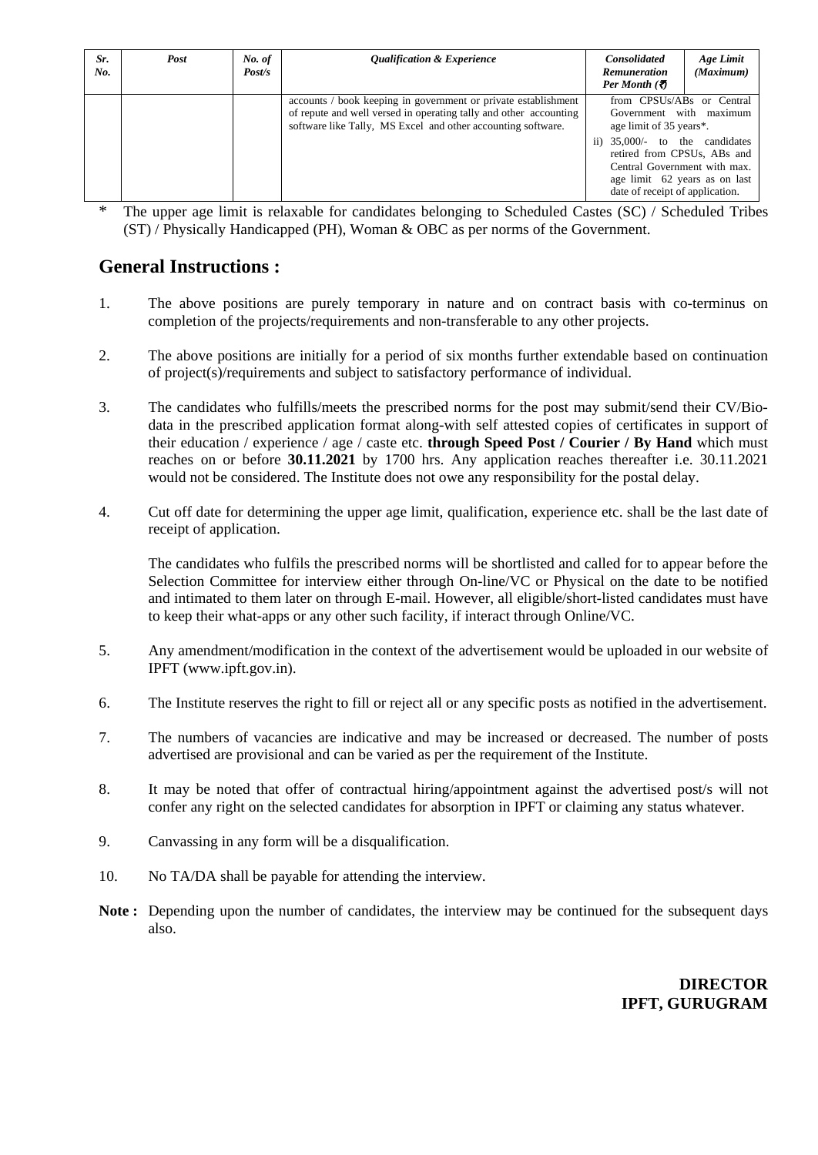| Sr.<br>No. | Post | No. of<br>Post/s | <b>Qualification &amp; Experience</b>                                                                                                                                                               | <b>Consolidated</b><br><b>Remuneration</b><br>Per Month $(\bar{\mathbf{z}})$                                                                                                                                                                         | Age Limit<br>(Maximum) |
|------------|------|------------------|-----------------------------------------------------------------------------------------------------------------------------------------------------------------------------------------------------|------------------------------------------------------------------------------------------------------------------------------------------------------------------------------------------------------------------------------------------------------|------------------------|
|            |      |                  | accounts / book keeping in government or private establishment<br>of repute and well versed in operating tally and other accounting<br>software like Tally, MS Excel and other accounting software. | from CPSUs/ABs or Central<br>Government with maximum<br>age limit of 35 years*.<br>ii) 35,000/- to the candidates<br>retired from CPSUs, ABs and<br>Central Government with max.<br>age limit 62 years as on last<br>date of receipt of application. |                        |

\* The upper age limit is relaxable for candidates belonging to Scheduled Castes (SC) / Scheduled Tribes (ST) / Physically Handicapped (PH), Woman & OBC as per norms of the Government.

#### **General Instructions :**

- 1. The above positions are purely temporary in nature and on contract basis with co-terminus on completion of the projects/requirements and non-transferable to any other projects.
- 2. The above positions are initially for a period of six months further extendable based on continuation of project(s)/requirements and subject to satisfactory performance of individual.
- 3. The candidates who fulfills/meets the prescribed norms for the post may submit/send their CV/Biodata in the prescribed application format along-with self attested copies of certificates in support of their education / experience / age / caste etc. **through Speed Post / Courier / By Hand** which must reaches on or before **30.11.2021** by 1700 hrs. Any application reaches thereafter i.e. 30.11.2021 would not be considered. The Institute does not owe any responsibility for the postal delay.
- 4. Cut off date for determining the upper age limit, qualification, experience etc. shall be the last date of receipt of application.

The candidates who fulfils the prescribed norms will be shortlisted and called for to appear before the Selection Committee for interview either through On-line/VC or Physical on the date to be notified and intimated to them later on through E-mail. However, all eligible/short-listed candidates must have to keep their what-apps or any other such facility, if interact through Online/VC.

- 5. Any amendment/modification in the context of the advertisement would be uploaded in our website of IPFT [\(www.ipft.gov.in\)](http://www.ipft.gov.in/).
- 6. The Institute reserves the right to fill or reject all or any specific posts as notified in the advertisement.
- 7. The numbers of vacancies are indicative and may be increased or decreased. The number of posts advertised are provisional and can be varied as per the requirement of the Institute.
- 8. It may be noted that offer of contractual hiring/appointment against the advertised post/s will not confer any right on the selected candidates for absorption in IPFT or claiming any status whatever.
- 9. Canvassing in any form will be a disqualification.
- 10. No TA/DA shall be payable for attending the interview.
- **Note :** Depending upon the number of candidates, the interview may be continued for the subsequent days also.

**DIRECTOR IPFT, GURUGRAM**